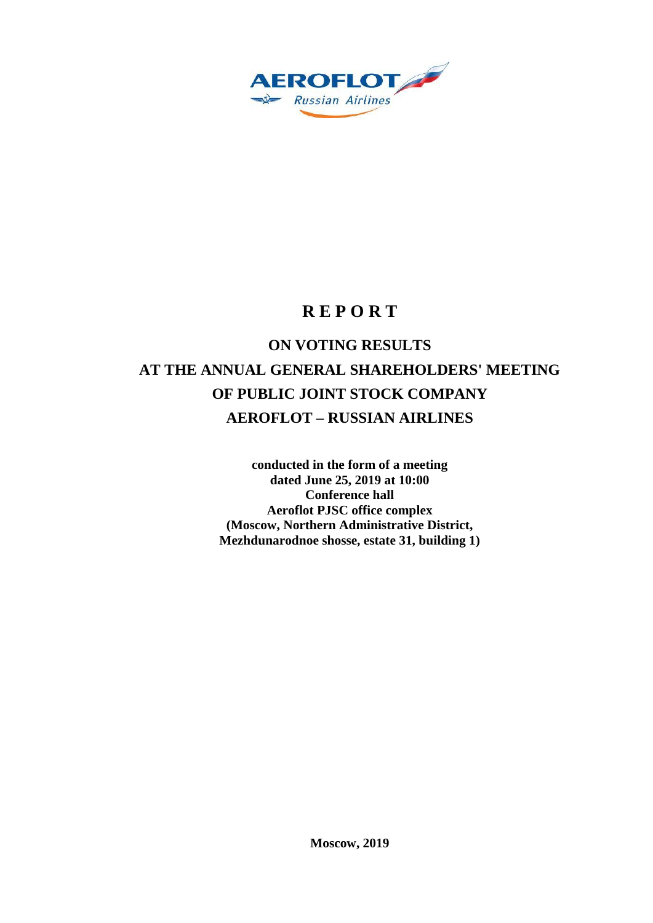

# **R E P O R T**

# **ON VOTING RESULTS AT THE ANNUAL GENERAL SHAREHOLDERS' MEETING OF PUBLIC JOINT STOCK COMPANY AEROFLOT – RUSSIAN AIRLINES**

**conducted in the form of a meeting dated June 25, 2019 at 10:00 Conference hall Aeroflot PJSC office complex (Moscow, Northern Administrative District, Mezhdunarodnoe shosse, estate 31, building 1)**

**Moscow, 2019**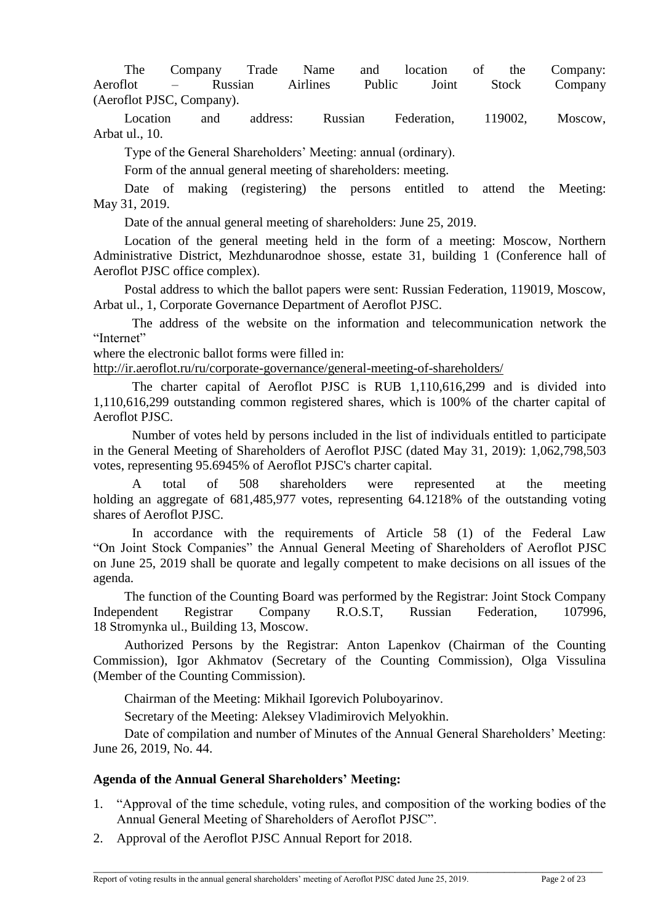The Company Trade Name and location of the Company: Aeroflot – Russian Airlines Public Joint Stock Company (Aeroflot PJSC, Company).

Location and address: Russian Federation, 119002, Moscow, Arbat ul., 10.

Type of the General Shareholders' Meeting: annual (ordinary).

Form of the annual general meeting of shareholders: meeting.

Date of making (registering) the persons entitled to attend the Meeting: May 31, 2019.

Date of the annual general meeting of shareholders: June 25, 2019.

Location of the general meeting held in the form of a meeting: Moscow, Northern Administrative District, Mezhdunarodnoe shosse, estate 31, building 1 (Conference hall of Aeroflot PJSC office complex).

Postal address to which the ballot papers were sent: Russian Federation, 119019, Moscow, Arbat ul., 1, Corporate Governance Department of Aeroflot PJSC.

The address of the website on the information and telecommunication network the "Internet"

where the electronic ballot forms were filled in:

<http://ir.aeroflot.ru/ru/corporate-governance/general-meeting-of-shareholders/>

The charter capital of Aeroflot PJSC is RUB 1,110,616,299 and is divided into 1,110,616,299 outstanding common registered shares, which is 100% of the charter capital of Aeroflot PJSC.

Number of votes held by persons included in the list of individuals entitled to participate in the General Meeting of Shareholders of Aeroflot PJSC (dated May 31, 2019): 1,062,798,503 votes, representing 95.6945% of Aeroflot PJSC's charter capital.

A total of 508 shareholders were represented at the meeting holding an aggregate of 681,485,977 votes, representing 64.1218% of the outstanding voting shares of Aeroflot PJSC.

In accordance with the requirements of Article 58 (1) of the Federal Law "On Joint Stock Companies" the Annual General Meeting of Shareholders of Aeroflot PJSC on June 25, 2019 shall be quorate and legally competent to make decisions on all issues of the agenda.

The function of the Counting Board was performed by the Registrar: Joint Stock Company Independent Registrar Company R.O.S.T, Russian Federation, 107996, 18 Stromynka ul., Building 13, Moscow.

Authorized Persons by the Registrar: Anton Lapenkov (Chairman of the Counting Commission), Igor Akhmatov (Secretary of the Counting Commission), Olga Vissulina (Member of the Counting Commission).

Chairman of the Meeting: Mikhail Igorevich Poluboyarinov.

Secretary of the Meeting: Aleksey Vladimirovich Melyokhin.

Date of compilation and number of Minutes of the Annual General Shareholders' Meeting: June 26, 2019, No. 44.

# **Agenda of the Annual General Shareholders' Meeting:**

1. "Approval of the time schedule, voting rules, and composition of the working bodies of the Annual General Meeting of Shareholders of Aeroflot PJSC".

\_\_\_\_\_\_\_\_\_\_\_\_\_\_\_\_\_\_\_\_\_\_\_\_\_\_\_\_\_\_\_\_\_\_\_\_\_\_\_\_\_\_\_\_\_\_\_\_\_\_\_\_\_\_\_\_\_\_\_\_\_\_\_\_\_\_\_\_\_\_\_\_\_\_\_\_\_\_\_\_\_\_\_\_\_\_\_\_\_\_\_\_\_

2. Approval of the Aeroflot PJSC Annual Report for 2018.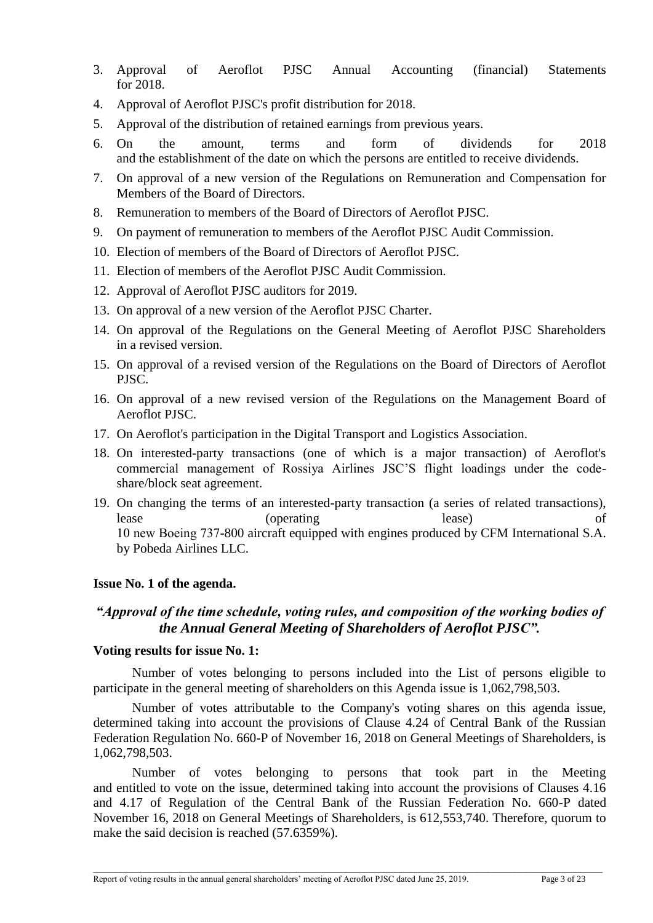- 3. Approval of Aeroflot PJSC Annual Accounting (financial) Statements for 2018.
- 4. Approval of Aeroflot PJSC's profit distribution for 2018.
- 5. Approval of the distribution of retained earnings from previous years.
- 6. On the amount, terms and form of dividends for 2018 and the establishment of the date on which the persons are entitled to receive dividends.
- 7. On approval of a new version of the Regulations on Remuneration and Compensation for Members of the Board of Directors.
- 8. Remuneration to members of the Board of Directors of Aeroflot PJSC.
- 9. On payment of remuneration to members of the Aeroflot PJSC Audit Commission.
- 10. Election of members of the Board of Directors of Aeroflot PJSC.
- 11. Election of members of the Aeroflot PJSC Audit Commission.
- 12. Approval of Aeroflot PJSC auditors for 2019.
- 13. On approval of a new version of the Aeroflot PJSC Charter.
- 14. On approval of the Regulations on the General Meeting of Aeroflot PJSC Shareholders in a revised version.
- 15. On approval of a revised version of the Regulations on the Board of Directors of Aeroflot PJSC.
- 16. On approval of a new revised version of the Regulations on the Management Board of Aeroflot PJSC.
- 17. On Aeroflot's participation in the Digital Transport and Logistics Association.
- 18. On interested-party transactions (one of which is a major transaction) of Aeroflot's commercial management of Rossiya Airlines JSC'S flight loadings under the codeshare/block seat agreement.
- 19. On changing the terms of an interested-party transaction (a series of related transactions), lease (operating lease) of 10 new Вoeing 737-800 aircraft equipped with engines produced by CFM International S.A. by Pobeda Airlines LLC.

# **Issue No. 1 of the agenda.**

# *"Approval of the time schedule, voting rules, and composition of the working bodies of the Annual General Meeting of Shareholders of Aeroflot PJSC".*

## **Voting results for issue No. 1:**

Number of votes belonging to persons included into the List of persons eligible to participate in the general meeting of shareholders on this Agenda issue is 1,062,798,503.

Number of votes attributable to the Company's voting shares on this agenda issue, determined taking into account the provisions of Clause 4.24 of Central Bank of the Russian Federation Regulation No. 660-P of November 16, 2018 on General Meetings of Shareholders, is 1,062,798,503.

Number of votes belonging to persons that took part in the Meeting and entitled to vote on the issue, determined taking into account the provisions of Clauses 4.16 and 4.17 of Regulation of the Central Bank of the Russian Federation No. 660-P dated November 16, 2018 on General Meetings of Shareholders, is 612,553,740. Therefore, quorum to make the said decision is reached (57.6359%).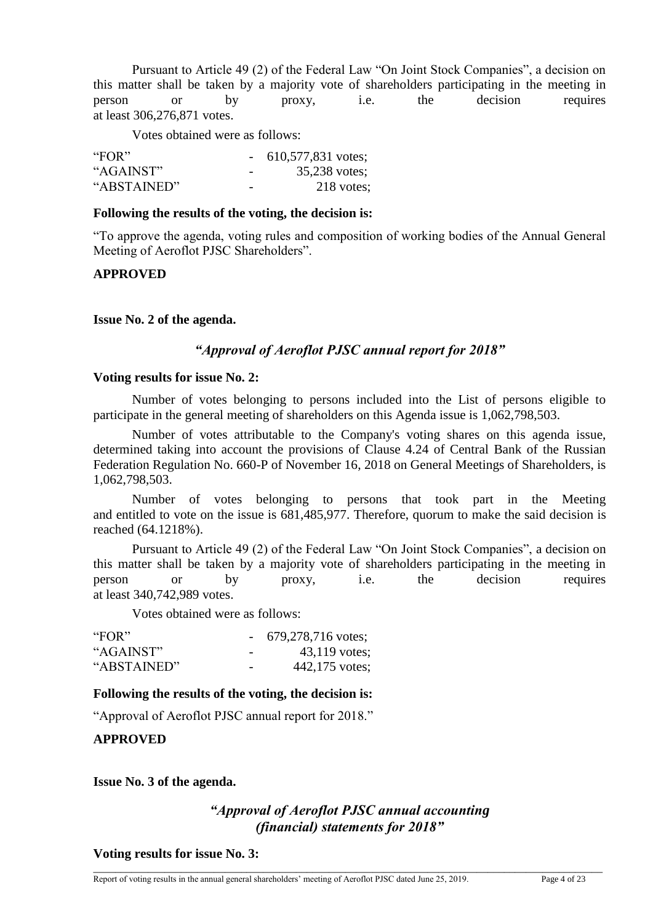Pursuant to Article 49 (2) of the Federal Law "On Joint Stock Companies", a decision on this matter shall be taken by a majority vote of shareholders participating in the meeting in person or by proxy, i.e. the decision requires at least 306,276,871 votes.

Votes obtained were as follows:

| "FOR"       |                          | $-610,577,831$ votes; |
|-------------|--------------------------|-----------------------|
| "AGAINST"   | $\overline{\phantom{0}}$ | 35,238 votes;         |
| "ABSTAINED" | $\overline{\phantom{0}}$ | 218 votes:            |

#### **Following the results of the voting, the decision is:**

"To approve the agenda, voting rules and composition of working bodies of the Annual General Meeting of Aeroflot PJSC Shareholders".

## **APPROVED**

#### **Issue No. 2 of the agenda.**

## *"Approval of Aeroflot PJSC annual report for 2018"*

#### **Voting results for issue No. 2:**

Number of votes belonging to persons included into the List of persons eligible to participate in the general meeting of shareholders on this Agenda issue is 1,062,798,503.

Number of votes attributable to the Company's voting shares on this agenda issue, determined taking into account the provisions of Clause 4.24 of Central Bank of the Russian Federation Regulation No. 660-P of November 16, 2018 on General Meetings of Shareholders, is 1,062,798,503.

Number of votes belonging to persons that took part in the Meeting and entitled to vote on the issue is 681,485,977. Therefore, quorum to make the said decision is reached (64.1218%).

Pursuant to Article 49 (2) of the Federal Law "On Joint Stock Companies", a decision on this matter shall be taken by a majority vote of shareholders participating in the meeting in person or by proxy, i.e. the decision requires at least 340,742,989 votes.

Votes obtained were as follows:

| "FOR"       |                          | $-679,278,716 \text{ votes};$ |
|-------------|--------------------------|-------------------------------|
| "AGAINST"   | $\overline{\phantom{0}}$ | $43,119$ votes;               |
| "ABSTAINED" | $\overline{\phantom{0}}$ | 442,175 votes;                |

#### **Following the results of the voting, the decision is:**

"Approval of Aeroflot PJSC annual report for 2018."

**APPROVED**

**Issue No. 3 of the agenda.**

# *"Approval of Aeroflot PJSC annual accounting (financial) statements for 2018"*

**Voting results for issue No. 3:**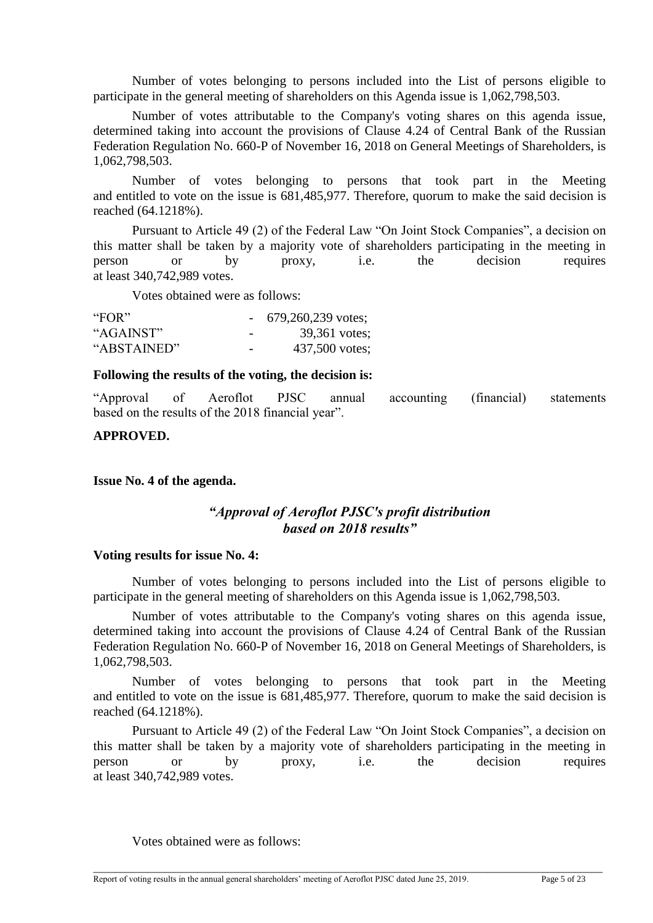Number of votes belonging to persons included into the List of persons eligible to participate in the general meeting of shareholders on this Agenda issue is 1,062,798,503.

Number of votes attributable to the Company's voting shares on this agenda issue, determined taking into account the provisions of Clause 4.24 of Central Bank of the Russian Federation Regulation No. 660-P of November 16, 2018 on General Meetings of Shareholders, is 1,062,798,503.

Number of votes belonging to persons that took part in the Meeting and entitled to vote on the issue is 681,485,977. Therefore, quorum to make the said decision is reached (64.1218%).

Pursuant to Article 49 (2) of the Federal Law "On Joint Stock Companies", a decision on this matter shall be taken by a majority vote of shareholders participating in the meeting in person or by proxy, i.e. the decision requires at least 340,742,989 votes.

Votes obtained were as follows:

| "FOR"       |                          | $-679,260,239$ votes; |
|-------------|--------------------------|-----------------------|
| "AGAINST"   | $\overline{\phantom{0}}$ | 39,361 votes;         |
| "ABSTAINED" | $\overline{\phantom{0}}$ | 437,500 votes;        |

#### **Following the results of the voting, the decision is:**

"Approval of Aeroflot PJSC annual accounting (financial) statements based on the results of the 2018 financial year".

## **APPROVED.**

**Issue No. 4 of the agenda.**

# *"Approval of Aeroflot PJSC's profit distribution based on 2018 results"*

#### **Voting results for issue No. 4:**

Number of votes belonging to persons included into the List of persons eligible to participate in the general meeting of shareholders on this Agenda issue is 1,062,798,503.

Number of votes attributable to the Company's voting shares on this agenda issue, determined taking into account the provisions of Clause 4.24 of Central Bank of the Russian Federation Regulation No. 660-P of November 16, 2018 on General Meetings of Shareholders, is 1,062,798,503.

Number of votes belonging to persons that took part in the Meeting and entitled to vote on the issue is 681,485,977. Therefore, quorum to make the said decision is reached (64.1218%).

Pursuant to Article 49 (2) of the Federal Law "On Joint Stock Companies", a decision on this matter shall be taken by a majority vote of shareholders participating in the meeting in person or by proxy, i.e. the decision requires at least 340,742,989 votes.

\_\_\_\_\_\_\_\_\_\_\_\_\_\_\_\_\_\_\_\_\_\_\_\_\_\_\_\_\_\_\_\_\_\_\_\_\_\_\_\_\_\_\_\_\_\_\_\_\_\_\_\_\_\_\_\_\_\_\_\_\_\_\_\_\_\_\_\_\_\_\_\_\_\_\_\_\_\_\_\_\_\_\_\_\_\_\_\_\_\_\_\_\_

Votes obtained were as follows: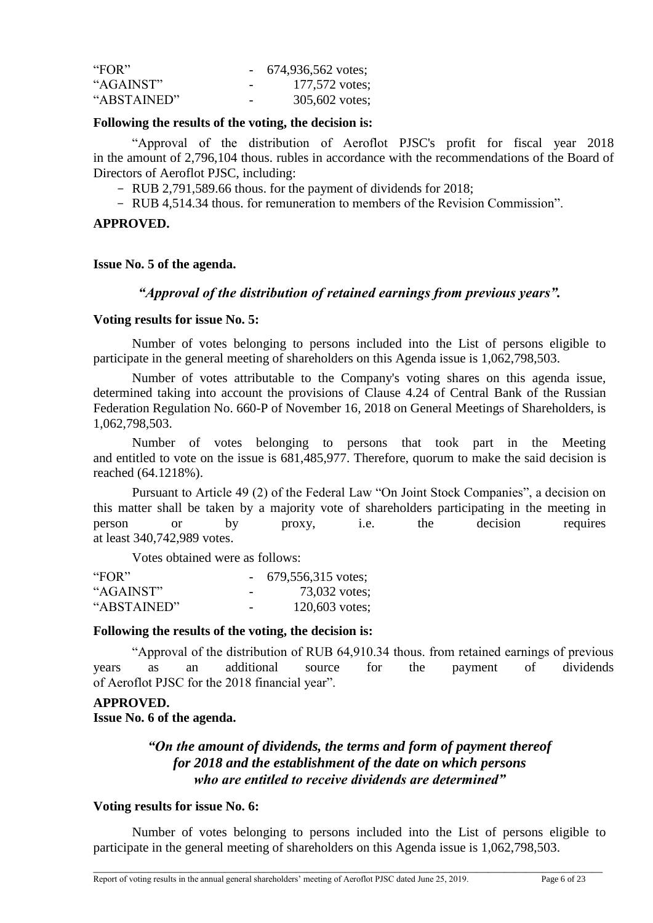| "FOR"       |                          | $-674,936,562 \text{ votes};$ |
|-------------|--------------------------|-------------------------------|
| "AGAINST"   | $\overline{\phantom{0}}$ | 177,572 votes;                |
| "ABSTAINED" | $\overline{\phantom{0}}$ | 305,602 votes;                |

#### **Following the results of the voting, the decision is:**

"Approval of the distribution of Aeroflot PJSC's profit for fiscal year 2018 in the amount of 2,796,104 thous. rubles in accordance with the recommendations of the Board of Directors of Aeroflot PJSC, including:

- RUB 2,791,589.66 thous. for the payment of dividends for 2018;

- RUB 4,514.34 thous. for remuneration to members of the Revision Commission".

#### **APPROVED.**

#### **Issue No. 5 of the agenda.**

## *"Approval of the distribution of retained earnings from previous years".*

#### **Voting results for issue No. 5:**

Number of votes belonging to persons included into the List of persons eligible to participate in the general meeting of shareholders on this Agenda issue is 1,062,798,503.

Number of votes attributable to the Company's voting shares on this agenda issue, determined taking into account the provisions of Clause 4.24 of Central Bank of the Russian Federation Regulation No. 660-P of November 16, 2018 on General Meetings of Shareholders, is 1,062,798,503.

Number of votes belonging to persons that took part in the Meeting and entitled to vote on the issue is 681,485,977. Therefore, quorum to make the said decision is reached (64.1218%).

Pursuant to Article 49 (2) of the Federal Law "On Joint Stock Companies", a decision on this matter shall be taken by a majority vote of shareholders participating in the meeting in person or by proxy, i.e. the decision requires at least 340,742,989 votes.

Votes obtained were as follows:

| "FOR"       |                          | 679,556,315 votes; |
|-------------|--------------------------|--------------------|
| "AGAINST"   | $\overline{\phantom{0}}$ | 73,032 votes;      |
| "ABSTAINED" | $\overline{\phantom{0}}$ | 120,603 votes;     |

## **Following the results of the voting, the decision is:**

"Approval of the distribution of RUB 64,910.34 thous. from retained earnings of previous years as an additional source for the payment of dividends of Aeroflot PJSC for the 2018 financial year".

## **APPROVED.**

**Issue No. 6 of the agenda.**

# *"On the amount of dividends, the terms and form of payment thereof for 2018 and the establishment of the date on which persons who are entitled to receive dividends are determined"*

#### **Voting results for issue No. 6:**

Number of votes belonging to persons included into the List of persons eligible to participate in the general meeting of shareholders on this Agenda issue is 1,062,798,503.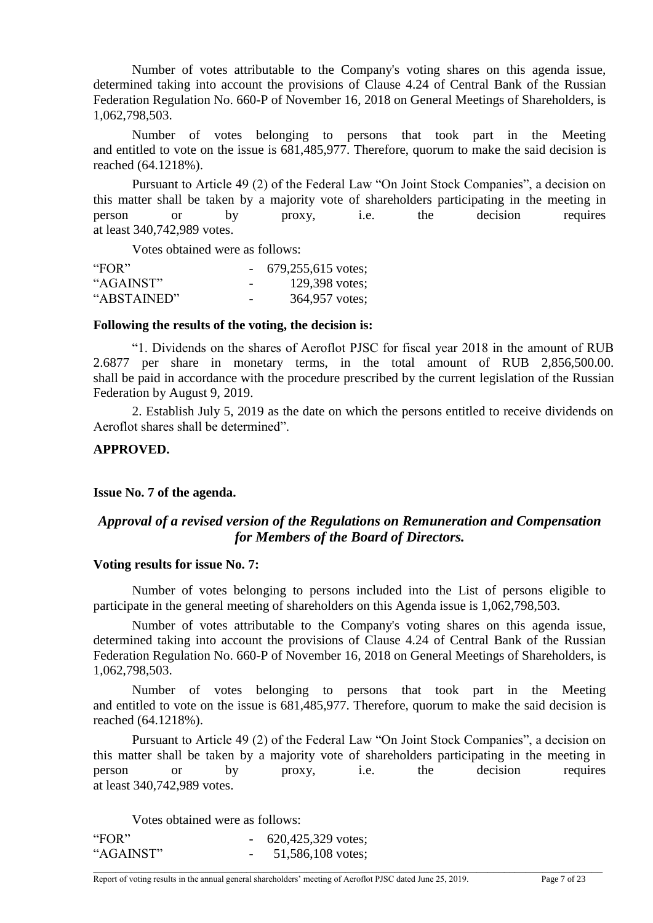Number of votes attributable to the Company's voting shares on this agenda issue, determined taking into account the provisions of Clause 4.24 of Central Bank of the Russian Federation Regulation No. 660-P of November 16, 2018 on General Meetings of Shareholders, is 1,062,798,503.

Number of votes belonging to persons that took part in the Meeting and entitled to vote on the issue is 681,485,977. Therefore, quorum to make the said decision is reached (64.1218%).

Pursuant to Article 49 (2) of the Federal Law "On Joint Stock Companies", a decision on this matter shall be taken by a majority vote of shareholders participating in the meeting in person or by proxy, i.e. the decision requires at least 340,742,989 votes.

Votes obtained were as follows:

| "FOR"       |                          | $-679,255,615$ votes; |
|-------------|--------------------------|-----------------------|
| "AGAINST"   | $\overline{\phantom{0}}$ | 129,398 votes;        |
| "ABSTAINED" | $\overline{\phantom{0}}$ | 364,957 votes;        |

#### **Following the results of the voting, the decision is:**

"1. Dividends on the shares of Aeroflot PJSC for fiscal year 2018 in the amount of RUB 2.6877 per share in monetary terms, in the total amount of RUB 2,856,500.00. shall be paid in accordance with the procedure prescribed by the current legislation of the Russian Federation by August 9, 2019.

2. Establish July 5, 2019 as the date on which the persons entitled to receive dividends on Aeroflot shares shall be determined".

## **APPROVED.**

## **Issue No. 7 of the agenda.**

# *Approval of a revised version of the Regulations on Remuneration and Compensation for Members of the Board of Directors.*

#### **Voting results for issue No. 7:**

Number of votes belonging to persons included into the List of persons eligible to participate in the general meeting of shareholders on this Agenda issue is 1,062,798,503.

Number of votes attributable to the Company's voting shares on this agenda issue, determined taking into account the provisions of Clause 4.24 of Central Bank of the Russian Federation Regulation No. 660-P of November 16, 2018 on General Meetings of Shareholders, is 1,062,798,503.

Number of votes belonging to persons that took part in the Meeting and entitled to vote on the issue is 681,485,977. Therefore, quorum to make the said decision is reached (64.1218%).

Pursuant to Article 49 (2) of the Federal Law "On Joint Stock Companies", a decision on this matter shall be taken by a majority vote of shareholders participating in the meeting in person or by proxy, i.e. the decision requires at least 340,742,989 votes.

\_\_\_\_\_\_\_\_\_\_\_\_\_\_\_\_\_\_\_\_\_\_\_\_\_\_\_\_\_\_\_\_\_\_\_\_\_\_\_\_\_\_\_\_\_\_\_\_\_\_\_\_\_\_\_\_\_\_\_\_\_\_\_\_\_\_\_\_\_\_\_\_\_\_\_\_\_\_\_\_\_\_\_\_\_\_\_\_\_\_\_\_\_

Votes obtained were as follows:

| "FOR"     | 620,425,329 votes; |
|-----------|--------------------|
| "AGAINST" | 51,586,108 votes;  |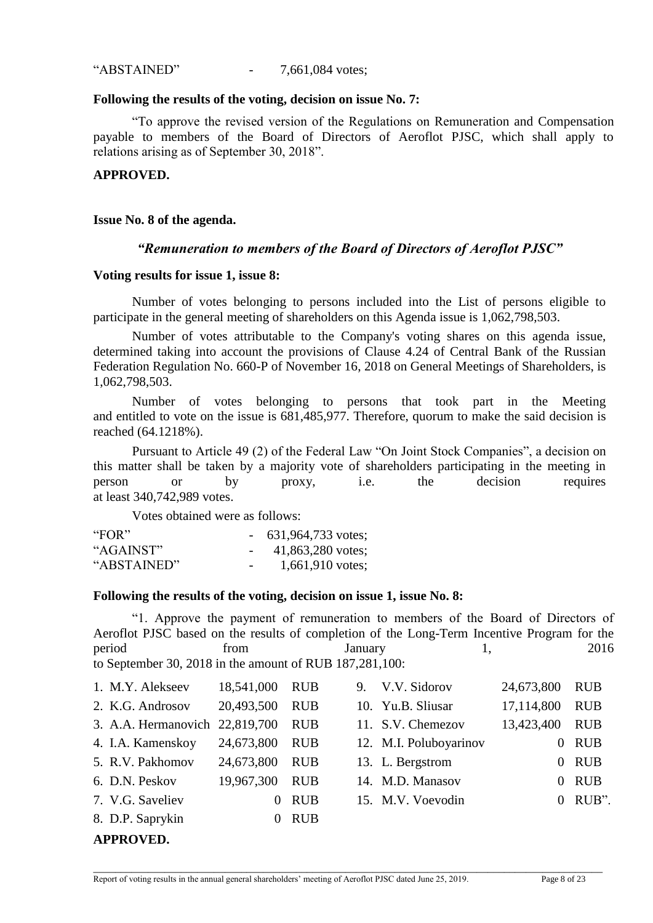"ABSTAINED" - 7,661,084 votes;

#### **Following the results of the voting, decision on issue No. 7:**

"To approve the revised version of the Regulations on Remuneration and Compensation payable to members of the Board of Directors of Aeroflot PJSC, which shall apply to relations arising as of September 30, 2018".

## **APPROVED.**

**Issue No. 8 of the agenda.**

# *"Remuneration to members of the Board of Directors of Aeroflot PJSC"*

## **Voting results for issue 1, issue 8:**

Number of votes belonging to persons included into the List of persons eligible to participate in the general meeting of shareholders on this Agenda issue is 1,062,798,503.

Number of votes attributable to the Company's voting shares on this agenda issue, determined taking into account the provisions of Clause 4.24 of Central Bank of the Russian Federation Regulation No. 660-P of November 16, 2018 on General Meetings of Shareholders, is 1,062,798,503.

Number of votes belonging to persons that took part in the Meeting and entitled to vote on the issue is 681,485,977. Therefore, quorum to make the said decision is reached (64.1218%).

Pursuant to Article 49 (2) of the Federal Law "On Joint Stock Companies", a decision on this matter shall be taken by a majority vote of shareholders participating in the meeting in person or by proxy, i.e. the decision requires at least 340,742,989 votes.

Votes obtained were as follows:

| "FOR"       |                          | $-631,964,733$ votes; |
|-------------|--------------------------|-----------------------|
| "AGAINST"   |                          | 41,863,280 votes;     |
| "ABSTAINED" | $\overline{\phantom{a}}$ | 1,661,910 votes;      |

## **Following the results of the voting, decision on issue 1, issue No. 8:**

"1. Approve the payment of remuneration to members of the Board of Directors of Aeroflot PJSC based on the results of completion of the Long-Term Incentive Program for the period from January 1, 2016 to September 30, 2018 in the amount of RUB 187,281,100:

| 1. M.Y. Alekseev               | 18,541,000 | <b>RUB</b> | 9. V.V. Sidorov        | 24,673,800 | <b>RUB</b> |
|--------------------------------|------------|------------|------------------------|------------|------------|
| 2. K.G. Androsov               | 20,493,500 | <b>RUB</b> | 10. Yu.B. Sliusar      | 17,114,800 | <b>RUB</b> |
| 3. A.A. Hermanovich 22,819,700 |            | <b>RUB</b> | 11. S.V. Chemezov      | 13,423,400 | <b>RUB</b> |
| 4. I.A. Kamenskoy              | 24,673,800 | <b>RUB</b> | 12. M.I. Poluboyarinov | $\Omega$   | <b>RUB</b> |
| 5. R.V. Pakhomov               | 24,673,800 | <b>RUB</b> | 13. L. Bergstrom       | $\Omega$   | <b>RUB</b> |
| 6. D.N. Peskov                 | 19,967,300 | <b>RUB</b> | 14. M.D. Manasov       | $\Omega$   | <b>RUB</b> |
| 7. V.G. Saveliev               | $\Omega$   | <b>RUB</b> | 15. M.V. Voevodin      |            | $0$ RUB".  |
| 8. D.P. Saprykin               | $\theta$   | <b>RUB</b> |                        |            |            |
| <b>APPROVED.</b>               |            |            |                        |            |            |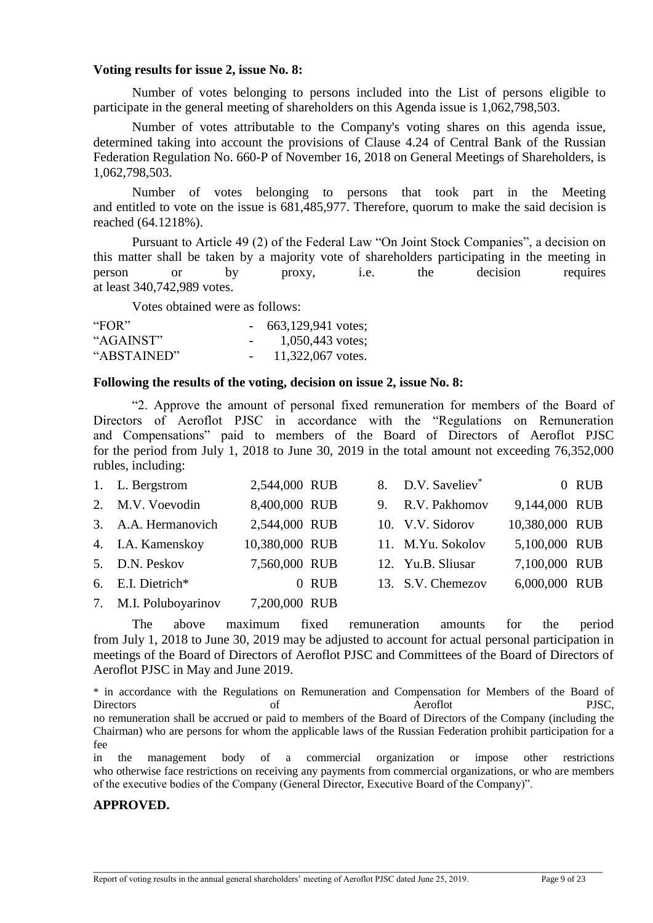#### **Voting results for issue 2, issue No. 8:**

Number of votes belonging to persons included into the List of persons eligible to participate in the general meeting of shareholders on this Agenda issue is 1,062,798,503.

Number of votes attributable to the Company's voting shares on this agenda issue, determined taking into account the provisions of Clause 4.24 of Central Bank of the Russian Federation Regulation No. 660-P of November 16, 2018 on General Meetings of Shareholders, is 1,062,798,503.

Number of votes belonging to persons that took part in the Meeting and entitled to vote on the issue is 681,485,977. Therefore, quorum to make the said decision is reached (64.1218%).

Pursuant to Article 49 (2) of the Federal Law "On Joint Stock Companies", a decision on this matter shall be taken by a majority vote of shareholders participating in the meeting in person or by proxy, i.e. the decision requires at least 340,742,989 votes.

Votes obtained were as follows:

| "FOR $"$    |        | 663,129,941 votes; |
|-------------|--------|--------------------|
| "AGAINST"   | $\sim$ | 1,050,443 votes;   |
| "ABSTAINED" | $\sim$ | 11,322,067 votes.  |

#### **Following the results of the voting, decision on issue 2, issue No. 8:**

"2. Approve the amount of personal fixed remuneration for members of the Board of Directors of Aeroflot PJSC in accordance with the "Regulations on Remuneration and Compensations" paid to members of the Board of Directors of Aeroflot PJSC for the period from July 1, 2018 to June 30, 2019 in the total amount not exceeding 76,352,000 rubles, including:

| 1. L. Bergstrom       | 2,544,000 RUB  |       | 8. D.V. Saveliev <sup>*</sup> |                | 0 RUB |
|-----------------------|----------------|-------|-------------------------------|----------------|-------|
| 2. M.V. Voevodin      | 8,400,000 RUB  |       | 9. R.V. Pakhomov              | 9,144,000 RUB  |       |
| 3. A.A. Hermanovich   | 2,544,000 RUB  |       | 10. V.V. Sidorov              | 10,380,000 RUB |       |
| 4. I.A. Kamenskoy     | 10,380,000 RUB |       | 11. M.Yu. Sokolov             | 5,100,000 RUB  |       |
| 5. D.N. Peskov        | 7,560,000 RUB  |       | 12. Yu.B. Sliusar             | 7,100,000 RUB  |       |
| 6. E.I. Dietrich*     |                | 0 RUB | 13. S.V. Chemezov             | 6,000,000 RUB  |       |
| 7. M.I. Poluboyarinov | 7,200,000 RUB  |       |                               |                |       |

The above maximum fixed remuneration amounts for the period from July 1, 2018 to June 30, 2019 may be adjusted to account for actual personal participation in meetings of the Board of Directors of Aeroflot PJSC and Committees of the Board of Directors of Aeroflot PJSC in May and June 2019.

\* in accordance with the Regulations on Remuneration and Compensation for Members of the Board of Directors of Aeroflot PJSC, no remuneration shall be accrued or paid to members of the Board of Directors of the Company (including the Chairman) who are persons for whom the applicable laws of the Russian Federation prohibit participation for a fee

in the management body of a commercial organization or impose other restrictions who otherwise face restrictions on receiving any payments from commercial organizations, or who are members of the executive bodies of the Company (General Director, Executive Board of the Company)".

\_\_\_\_\_\_\_\_\_\_\_\_\_\_\_\_\_\_\_\_\_\_\_\_\_\_\_\_\_\_\_\_\_\_\_\_\_\_\_\_\_\_\_\_\_\_\_\_\_\_\_\_\_\_\_\_\_\_\_\_\_\_\_\_\_\_\_\_\_\_\_\_\_\_\_\_\_\_\_\_\_\_\_\_\_\_\_\_\_\_\_\_\_

## **APPROVED.**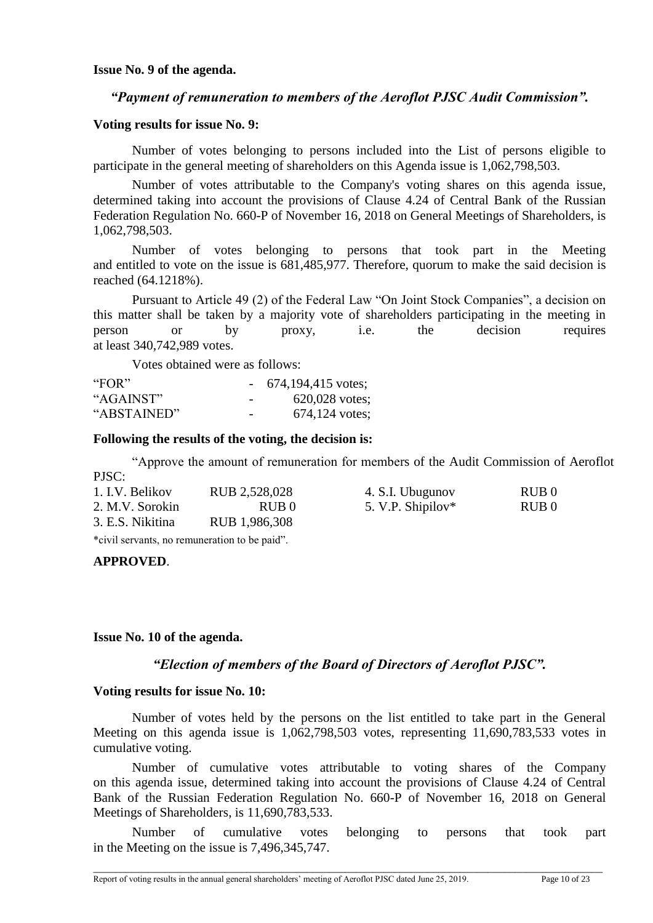**Issue No. 9 of the agenda.** 

## *"Payment of remuneration to members of the Aeroflot PJSC Audit Commission".*

## **Voting results for issue No. 9:**

Number of votes belonging to persons included into the List of persons eligible to participate in the general meeting of shareholders on this Agenda issue is 1,062,798,503.

Number of votes attributable to the Company's voting shares on this agenda issue, determined taking into account the provisions of Clause 4.24 of Central Bank of the Russian Federation Regulation No. 660-P of November 16, 2018 on General Meetings of Shareholders, is 1,062,798,503.

Number of votes belonging to persons that took part in the Meeting and entitled to vote on the issue is 681,485,977. Therefore, quorum to make the said decision is reached (64.1218%).

Pursuant to Article 49 (2) of the Federal Law "On Joint Stock Companies", a decision on this matter shall be taken by a majority vote of shareholders participating in the meeting in person or by proxy, i.e. the decision requires at least 340,742,989 votes.

Votes obtained were as follows:

| "FOR"       |                          | 674,194,415 votes; |
|-------------|--------------------------|--------------------|
| "AGAINST"   | $\overline{\phantom{0}}$ | $620,028$ votes;   |
| "ABSTAINED" | $\overline{\phantom{0}}$ | $674,124$ votes;   |

#### **Following the results of the voting, the decision is:**

"Approve the amount of remuneration for members of the Audit Commission of Aeroflot

| 1. I.V. Belikov  | RUB 2,528,028    | 4. S.I. Ubugunov  | RUB <sub>0</sub> |
|------------------|------------------|-------------------|------------------|
| 2. M.V. Sorokin  | RUB <sub>0</sub> | 5. V.P. Shipilov* | RUB 0            |
| 3. E.S. Nikitina | RUB 1,986,308    |                   |                  |
|                  |                  |                   |                  |

\*civil servants, no remuneration to be paid".

## **APPROVED**.

PISC<sup>.</sup>

## **Issue No. 10 of the agenda.**

# *"Election of members of the Board of Directors of Aeroflot PJSC".*

## **Voting results for issue No. 10:**

Number of votes held by the persons on the list entitled to take part in the General Meeting on this agenda issue is 1,062,798,503 votes, representing 11,690,783,533 votes in cumulative voting.

Number of cumulative votes attributable to voting shares of the Company on this agenda issue, determined taking into account the provisions of Clause 4.24 of Central Bank of the Russian Federation Regulation No. 660-P of November 16, 2018 on General Meetings of Shareholders, is 11,690,783,533.

Number of cumulative votes belonging to persons that took part in the Meeting on the issue is 7,496,345,747.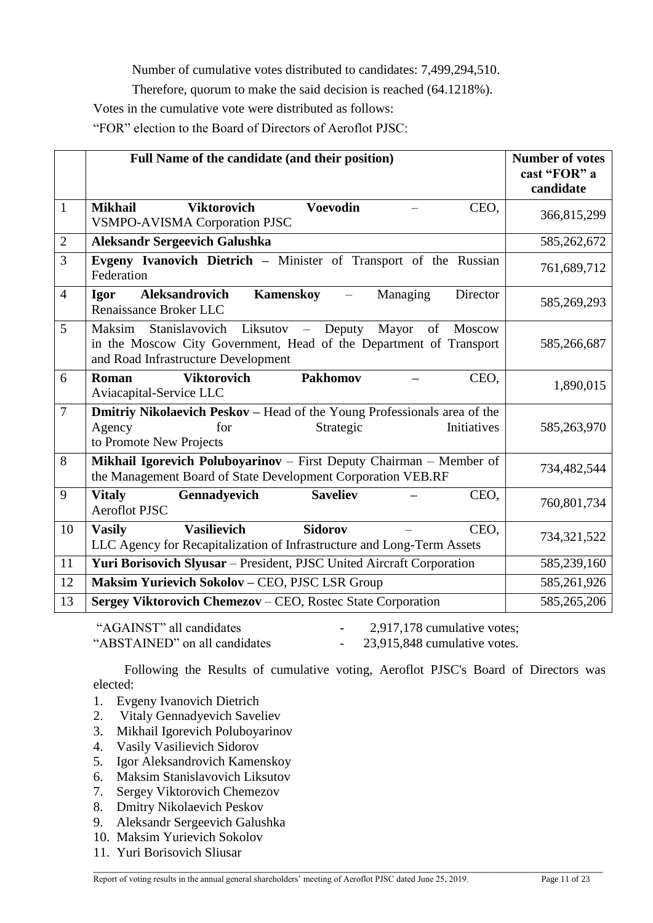Number of cumulative votes distributed to candidates: 7,499,294,510.

Therefore, quorum to make the said decision is reached (64.1218%).

Votes in the cumulative vote were distributed as follows:

"FOR" election to the Board of Directors of Aeroflot PJSC:

|                | Full Name of the candidate (and their position)                                                                                                                               | <b>Number of votes</b><br>cast "FOR" a<br>candidate |
|----------------|-------------------------------------------------------------------------------------------------------------------------------------------------------------------------------|-----------------------------------------------------|
| $\mathbf{1}$   | <b>Voevodin</b><br><b>Viktorovich</b><br><b>Mikhail</b><br>CEO,<br><b>VSMPO-AVISMA Corporation PJSC</b>                                                                       | 366,815,299                                         |
| $\overline{2}$ | <b>Aleksandr Sergeevich Galushka</b>                                                                                                                                          | 585,262,672                                         |
| $\overline{3}$ | Evgeny Ivanovich Dietrich - Minister of Transport of the Russian<br>Federation                                                                                                | 761,689,712                                         |
| $\overline{4}$ | Kamenskoy<br>Aleksandrovich<br>Managing<br>Director<br><b>Igor</b><br>$\overline{\phantom{m}}$<br>Renaissance Broker LLC                                                      | 585,269,293                                         |
| 5              | Maksim<br>Stanislavovich Liksutov - Deputy Mayor<br>of<br>Moscow<br>in the Moscow City Government, Head of the Department of Transport<br>and Road Infrastructure Development | 585,266,687                                         |
| 6              | <b>Viktorovich</b><br><b>Pakhomov</b><br>CEO,<br>Roman<br>Aviacapital-Service LLC                                                                                             | 1,890,015                                           |
| $\overline{7}$ | <b>Dmitriy Nikolaevich Peskov</b> – Head of the Young Professionals area of the<br>Initiatives<br>Agency<br>Strategic<br>for<br>to Promote New Projects                       | 585,263,970                                         |
| 8              | Mikhail Igorevich Poluboyarinov - First Deputy Chairman - Member of<br>the Management Board of State Development Corporation VEB.RF                                           | 734,482,544                                         |
| 9              | <b>Vitaly</b><br><b>Saveliev</b><br>CEO,<br>Gennadyevich<br><b>Aeroflot PJSC</b>                                                                                              | 760,801,734                                         |
| 10             | <b>Vasilievich</b><br><b>Sidorov</b><br>CEO,<br><b>Vasily</b><br>LLC Agency for Recapitalization of Infrastructure and Long-Term Assets                                       | 734,321,522                                         |
| 11             | Yuri Borisovich Slyusar - President, PJSC United Aircraft Corporation                                                                                                         | 585,239,160                                         |
| 12             | Maksim Yurievich Sokolov - CEO, PJSC LSR Group                                                                                                                                | 585,261,926                                         |
| 13             | Sergey Viktorovich Chemezov - CEO, Rostec State Corporation                                                                                                                   | 585,265,206                                         |

"AGAINST" all candidates  $-2.917,178$  cumulative votes: "ABSTAINED" on all candidates - 23,915,848 cumulative votes.

Following the Results of cumulative voting, Aeroflot PJSC's Board of Directors was elected:

- 1. Evgeny Ivanovich Dietrich
- 2. Vitaly Gennadyevich Saveliev
- 3. Mikhail Igorevich Poluboyarinov
- 4. Vasily Vasilievich Sidorov
- 5. Igor Aleksandrovich Kamenskoy
- 6. Maksim Stanislavovich Liksutov
- 7. Sergey Viktorovich Chemezov
- 8. Dmitry Nikolaevich Peskov
- 9. Aleksandr Sergeevich Galushka
- 10. Maksim Yurievich Sokolov
- 11. Yuri Borisovich Sliusar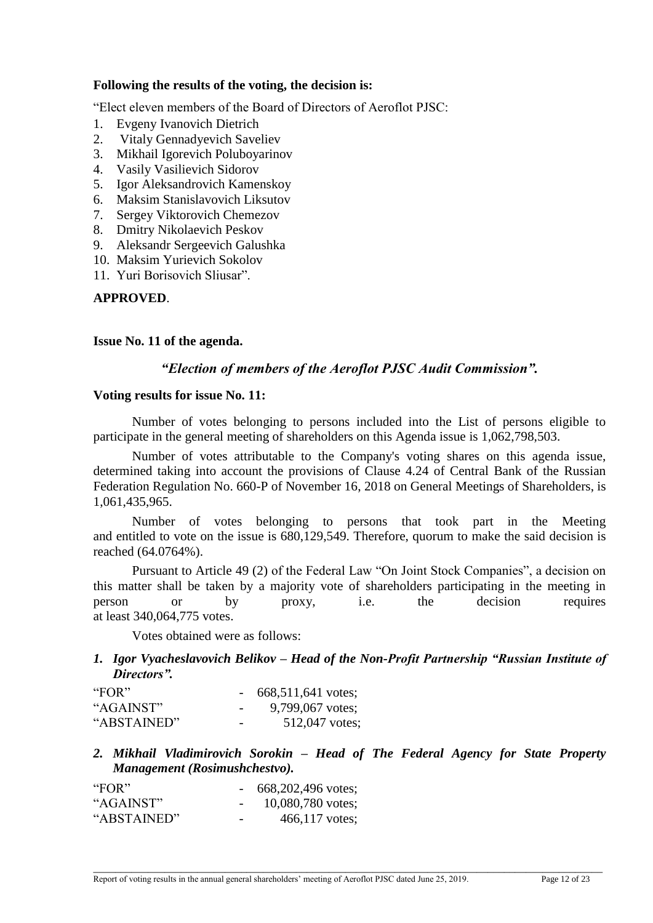## **Following the results of the voting, the decision is:**

"Elect eleven members of the Board of Directors of Aeroflot PJSC:

- 1. Evgeny Ivanovich Dietrich
- 2. Vitaly Gennadyevich Saveliev
- 3. Mikhail Igorevich Poluboyarinov
- 4. Vasily Vasilievich Sidorov
- 5. Igor Aleksandrovich Kamenskoy
- 6. Maksim Stanislavovich Liksutov
- 7. Sergey Viktorovich Chemezov
- 8. Dmitry Nikolaevich Peskov
- 9. Aleksandr Sergeevich Galushka
- 10. Maksim Yurievich Sokolov
- 11. Yuri Borisovich Sliusar".

## **APPROVED**.

#### **Issue No. 11 of the agenda.**

## *"Election of members of the Aeroflot PJSC Audit Commission".*

#### **Voting results for issue No. 11:**

Number of votes belonging to persons included into the List of persons eligible to participate in the general meeting of shareholders on this Agenda issue is 1,062,798,503.

Number of votes attributable to the Company's voting shares on this agenda issue, determined taking into account the provisions of Clause 4.24 of Central Bank of the Russian Federation Regulation No. 660-P of November 16, 2018 on General Meetings of Shareholders, is 1,061,435,965.

Number of votes belonging to persons that took part in the Meeting and entitled to vote on the issue is 680,129,549. Therefore, quorum to make the said decision is reached (64.0764%).

Pursuant to Article 49 (2) of the Federal Law "On Joint Stock Companies", a decision on this matter shall be taken by a majority vote of shareholders participating in the meeting in person or by proxy, i.e. the decision requires at least 340,064,775 votes.

Votes obtained were as follows:

## *1. Igor Vyacheslavovich Belikov – Head of the Non-Profit Partnership "Russian Institute of Directors".*

| "FOR"       |                          | 668,511,641 votes; |
|-------------|--------------------------|--------------------|
| "AGAINST"   | $\overline{\phantom{0}}$ | 9,799,067 votes;   |
| "ABSTAINED" | $\overline{\phantom{0}}$ | 512,047 votes:     |

*2. Mikhail Vladimirovich Sorokin – Head of The Federal Agency for State Property Management (Rosimushchestvo).*

| "FOR"       |                          | 668,202,496 votes; |
|-------------|--------------------------|--------------------|
| "AGAINST"   |                          | 10,080,780 votes;  |
| "ABSTAINED" | $\overline{\phantom{0}}$ | $466,117$ votes:   |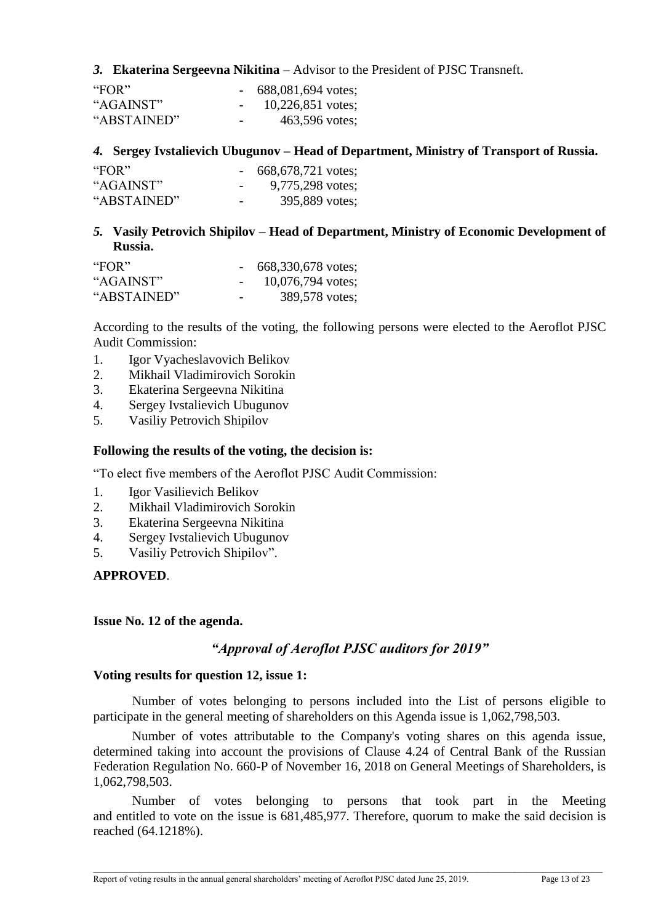## *3.* **Ekaterina Sergeevna Nikitina** – Advisor to the President of PJSC Transneft.

| "FOR"       |                          | 688,081,694 votes;  |
|-------------|--------------------------|---------------------|
| "AGAINST"   |                          | $10,226,851$ votes; |
| "ABSTAINED" | $\overline{\phantom{0}}$ | 463,596 votes;      |

## *4.* **Sergey Ivstalievich Ubugunov – Head of Department, Ministry of Transport of Russia.**

| "FOR"       |                          | 668,678,721 votes; |
|-------------|--------------------------|--------------------|
| "AGAINST"   | $\overline{\phantom{0}}$ | 9,775,298 votes;   |
| "ABSTAINED" | $\overline{\phantom{0}}$ | 395,889 votes;     |

*5.* **Vasily Petrovich Shipilov – Head of Department, Ministry of Economic Development of Russia.**

| "FOR"       |   | 668,330,678 votes;  |
|-------------|---|---------------------|
| "AGAINST"   |   | $10,076,794$ votes; |
| "ABSTAINED" | - | 389,578 votes;      |

According to the results of the voting, the following persons were elected to the Aeroflot PJSC Audit Commission:

- 1. Igor Vyacheslavovich Belikov
- 2. Mikhail Vladimirovich Sorokin
- 3. Ekaterina Sergeevna Nikitina
- 4. Sergey Ivstalievich Ubugunov
- 5. Vasiliy Petrovich Shipilov

## **Following the results of the voting, the decision is:**

"To elect five members of the Aeroflot PJSC Audit Commission:

- 1. Igor Vasilievich Belikov
- 2. Mikhail Vladimirovich Sorokin
- 3. Ekaterina Sergeevna Nikitina
- 4. Sergey Ivstalievich Ubugunov
- 5. Vasiliy Petrovich Shipilov".

**APPROVED**.

#### **Issue No. 12 of the agenda.**

## *"Approval of Aeroflot PJSC auditors for 2019"*

#### **Voting results for question 12, issue 1:**

Number of votes belonging to persons included into the List of persons eligible to participate in the general meeting of shareholders on this Agenda issue is 1,062,798,503.

Number of votes attributable to the Company's voting shares on this agenda issue, determined taking into account the provisions of Clause 4.24 of Central Bank of the Russian Federation Regulation No. 660-P of November 16, 2018 on General Meetings of Shareholders, is 1,062,798,503.

Number of votes belonging to persons that took part in the Meeting and entitled to vote on the issue is 681,485,977. Therefore, quorum to make the said decision is reached (64.1218%).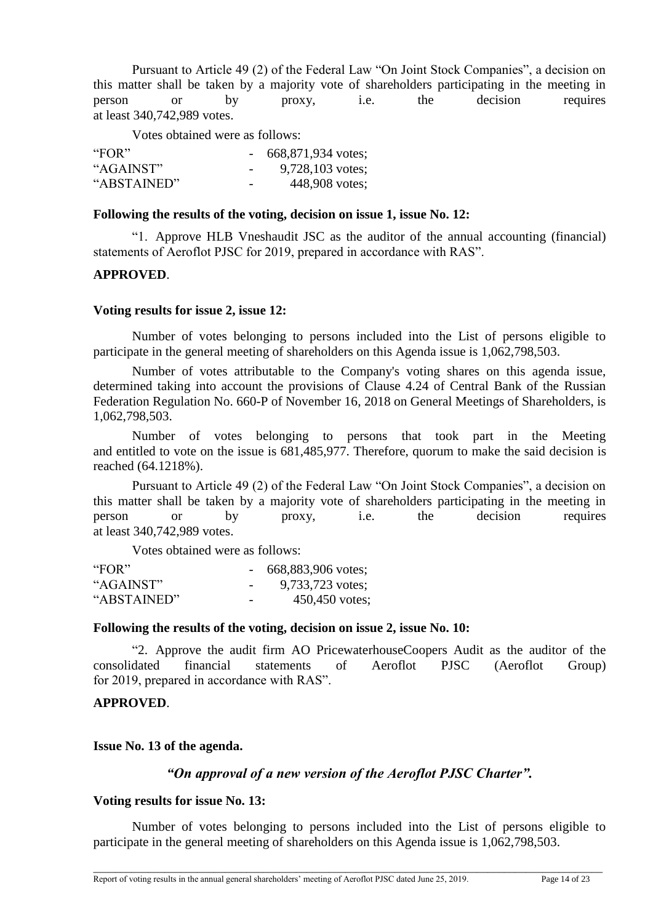Pursuant to Article 49 (2) of the Federal Law "On Joint Stock Companies", a decision on this matter shall be taken by a majority vote of shareholders participating in the meeting in person or by proxy, i.e. the decision requires at least 340,742,989 votes.

Votes obtained were as follows:

| "FOR"       |                          | $-668,871,934$ votes; |
|-------------|--------------------------|-----------------------|
| "AGAINST"   | $\overline{\phantom{a}}$ | $9,728,103$ votes;    |
| "ABSTAINED" | $\overline{\phantom{a}}$ | 448,908 votes;        |

#### **Following the results of the voting, decision on issue 1, issue No. 12:**

"1. Approve HLB Vneshaudit JSC as the auditor of the annual accounting (financial) statements of Aeroflot PJSC for 2019, prepared in accordance with RAS".

## **APPROVED**.

#### **Voting results for issue 2, issue 12:**

Number of votes belonging to persons included into the List of persons eligible to participate in the general meeting of shareholders on this Agenda issue is 1,062,798,503.

Number of votes attributable to the Company's voting shares on this agenda issue, determined taking into account the provisions of Clause 4.24 of Central Bank of the Russian Federation Regulation No. 660-P of November 16, 2018 on General Meetings of Shareholders, is 1,062,798,503.

Number of votes belonging to persons that took part in the Meeting and entitled to vote on the issue is 681,485,977. Therefore, quorum to make the said decision is reached (64.1218%).

Pursuant to Article 49 (2) of the Federal Law "On Joint Stock Companies", a decision on this matter shall be taken by a majority vote of shareholders participating in the meeting in person or by proxy, i.e. the decision requires at least 340,742,989 votes.

Votes obtained were as follows:

| "FOR"       |                          | 668,883,906 votes; |
|-------------|--------------------------|--------------------|
| "AGAINST"   | $\overline{\phantom{0}}$ | 9,733,723 votes;   |
| "ABSTAINED" | $\overline{\phantom{0}}$ | $450,450$ votes;   |

#### **Following the results of the voting, decision on issue 2, issue No. 10:**

"2. Approve the audit firm AO PricewaterhouseCoopers Audit as the auditor of the consolidated financial statements of Aeroflot PJSC (Aeroflot Group) for 2019, prepared in accordance with RAS".

## **APPROVED**.

## **Issue No. 13 of the agenda.**

## *"On approval of a new version of the Aeroflot PJSC Charter".*

## **Voting results for issue No. 13:**

Number of votes belonging to persons included into the List of persons eligible to participate in the general meeting of shareholders on this Agenda issue is 1,062,798,503.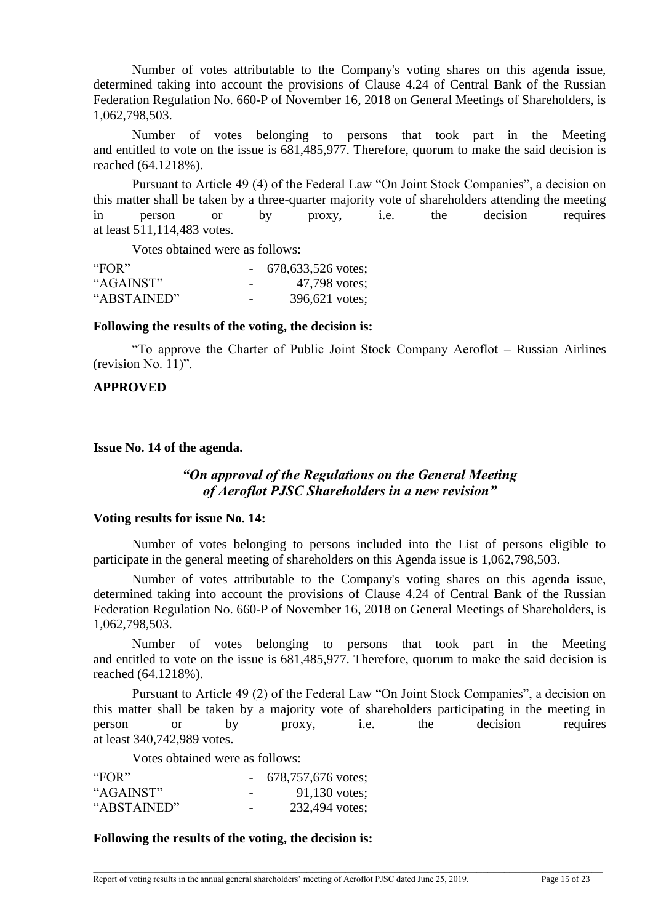Number of votes attributable to the Company's voting shares on this agenda issue, determined taking into account the provisions of Clause 4.24 of Central Bank of the Russian Federation Regulation No. 660-P of November 16, 2018 on General Meetings of Shareholders, is 1,062,798,503.

Number of votes belonging to persons that took part in the Meeting and entitled to vote on the issue is 681,485,977. Therefore, quorum to make the said decision is reached (64.1218%).

Pursuant to Article 49 (4) of the Federal Law "On Joint Stock Companies", a decision on this matter shall be taken by a three-quarter majority vote of shareholders attending the meeting in person or by proxy, i.e. the decision requires at least 511,114,483 votes.

Votes obtained were as follows:

| "FOR"       |                          | $-678,633,526$ votes; |
|-------------|--------------------------|-----------------------|
| "AGAINST"   | $\overline{\phantom{0}}$ | 47,798 votes;         |
| "ABSTAINED" | $\overline{\phantom{0}}$ | 396,621 votes;        |

#### **Following the results of the voting, the decision is:**

"To approve the Charter of Public Joint Stock Company Aeroflot – Russian Airlines (revision No. 11)".

## **APPROVED**

**Issue No. 14 of the agenda.** 

# *"On approval of the Regulations on the General Meeting of Aeroflot PJSC Shareholders in a new revision"*

#### **Voting results for issue No. 14:**

Number of votes belonging to persons included into the List of persons eligible to participate in the general meeting of shareholders on this Agenda issue is 1,062,798,503.

Number of votes attributable to the Company's voting shares on this agenda issue, determined taking into account the provisions of Clause 4.24 of Central Bank of the Russian Federation Regulation No. 660-P of November 16, 2018 on General Meetings of Shareholders, is 1,062,798,503.

Number of votes belonging to persons that took part in the Meeting and entitled to vote on the issue is 681,485,977. Therefore, quorum to make the said decision is reached (64.1218%).

Pursuant to Article 49 (2) of the Federal Law "On Joint Stock Companies", a decision on this matter shall be taken by a majority vote of shareholders participating in the meeting in person or by proxy, i.e. the decision requires at least 340,742,989 votes.

\_\_\_\_\_\_\_\_\_\_\_\_\_\_\_\_\_\_\_\_\_\_\_\_\_\_\_\_\_\_\_\_\_\_\_\_\_\_\_\_\_\_\_\_\_\_\_\_\_\_\_\_\_\_\_\_\_\_\_\_\_\_\_\_\_\_\_\_\_\_\_\_\_\_\_\_\_\_\_\_\_\_\_\_\_\_\_\_\_\_\_\_\_

Votes obtained were as follows:

| "FOR"       |                          | $-678,757,676$ votes; |
|-------------|--------------------------|-----------------------|
| "AGAINST"   | $\overline{\phantom{0}}$ | $91,130$ votes;       |
| "ABSTAINED" | $\overline{\phantom{0}}$ | 232,494 votes;        |

## **Following the results of the voting, the decision is:**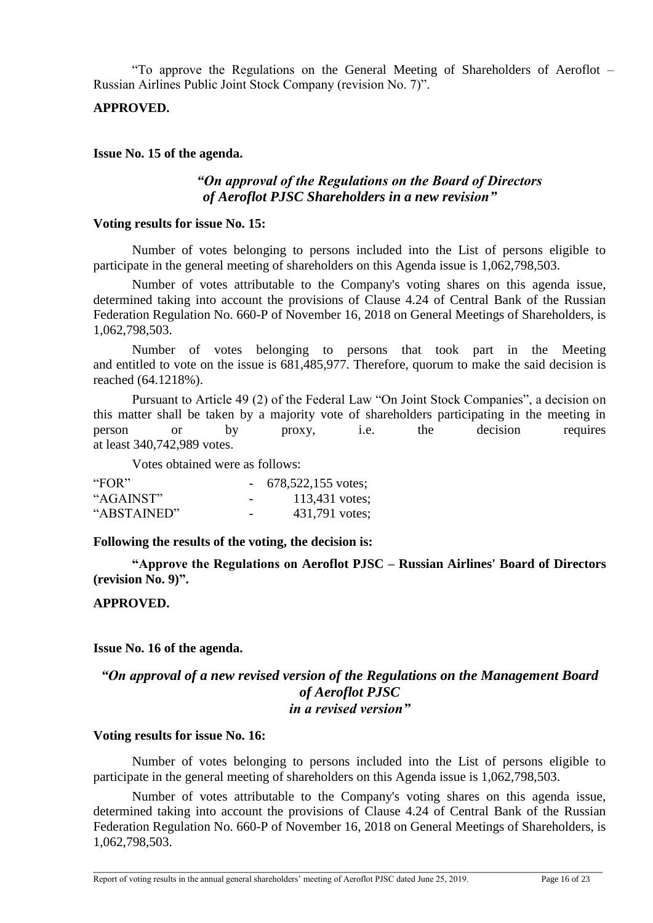"To approve the Regulations on the General Meeting of Shareholders of Aeroflot – Russian Airlines Public Joint Stock Company (revision No. 7)".

## **APPROVED.**

#### **Issue No. 15 of the agenda.**

# *"On approval of the Regulations on the Board of Directors of Aeroflot PJSC Shareholders in a new revision"*

#### **Voting results for issue No. 15:**

Number of votes belonging to persons included into the List of persons eligible to participate in the general meeting of shareholders on this Agenda issue is 1,062,798,503.

Number of votes attributable to the Company's voting shares on this agenda issue, determined taking into account the provisions of Clause 4.24 of Central Bank of the Russian Federation Regulation No. 660-P of November 16, 2018 on General Meetings of Shareholders, is 1,062,798,503.

Number of votes belonging to persons that took part in the Meeting and entitled to vote on the issue is 681,485,977. Therefore, quorum to make the said decision is reached (64.1218%).

Pursuant to Article 49 (2) of the Federal Law "On Joint Stock Companies", a decision on this matter shall be taken by a majority vote of shareholders participating in the meeting in person or by proxy, i.e. the decision requires at least 340,742,989 votes.

Votes obtained were as follows:

| "FOR"       |                          | $-678,522,155$ votes; |
|-------------|--------------------------|-----------------------|
| "AGAINST"   | $\overline{\phantom{0}}$ | 113,431 votes;        |
| "ABSTAINED" | $\overline{\phantom{0}}$ | 431,791 votes;        |

#### **Following the results of the voting, the decision is:**

**"Approve the Regulations on Aeroflot PJSC – Russian Airlines' Board of Directors (revision No. 9)".**

## **APPROVED.**

## **Issue No. 16 of the agenda.**

## *"On approval of a new revised version of the Regulations on the Management Board of Aeroflot PJSC in a revised version"*

#### **Voting results for issue No. 16:**

Number of votes belonging to persons included into the List of persons eligible to participate in the general meeting of shareholders on this Agenda issue is 1,062,798,503.

Number of votes attributable to the Company's voting shares on this agenda issue, determined taking into account the provisions of Clause 4.24 of Central Bank of the Russian Federation Regulation No. 660-P of November 16, 2018 on General Meetings of Shareholders, is 1,062,798,503.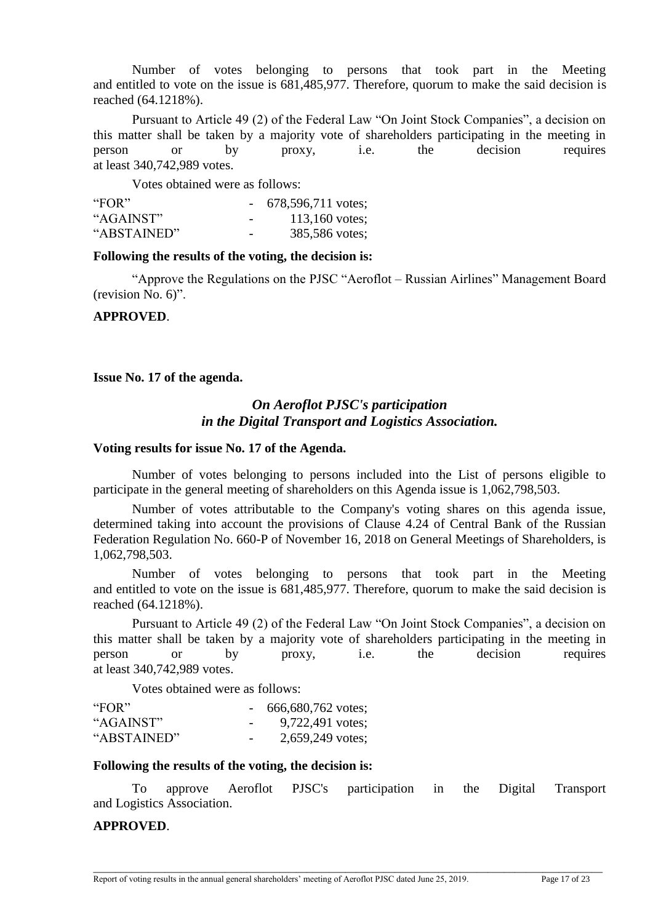Number of votes belonging to persons that took part in the Meeting and entitled to vote on the issue is 681,485,977. Therefore, quorum to make the said decision is reached (64.1218%).

Pursuant to Article 49 (2) of the Federal Law "On Joint Stock Companies", a decision on this matter shall be taken by a majority vote of shareholders participating in the meeting in person or by proxy, i.e. the decision requires at least 340,742,989 votes.

Votes obtained were as follows:

| "FOR"       |                          | $-678,596,711 \text{ votes};$ |
|-------------|--------------------------|-------------------------------|
| "AGAINST"   | $\overline{\phantom{0}}$ | 113,160 votes;                |
| "ABSTAINED" | $\overline{\phantom{0}}$ | 385,586 votes;                |

#### **Following the results of the voting, the decision is:**

"Approve the Regulations on the PJSC "Aeroflot – Russian Airlines" Management Board (revision No. 6)".

#### **APPROVED**.

**Issue No. 17 of the agenda.**

# *On Aeroflot PJSC's participation in the Digital Transport and Logistics Association.*

#### **Voting results for issue No. 17 of the Agenda.**

Number of votes belonging to persons included into the List of persons eligible to participate in the general meeting of shareholders on this Agenda issue is 1,062,798,503.

Number of votes attributable to the Company's voting shares on this agenda issue, determined taking into account the provisions of Clause 4.24 of Central Bank of the Russian Federation Regulation No. 660-P of November 16, 2018 on General Meetings of Shareholders, is 1,062,798,503.

Number of votes belonging to persons that took part in the Meeting and entitled to vote on the issue is 681,485,977. Therefore, quorum to make the said decision is reached (64.1218%).

Pursuant to Article 49 (2) of the Federal Law "On Joint Stock Companies", a decision on this matter shall be taken by a majority vote of shareholders participating in the meeting in person or by proxy, i.e. the decision requires at least 340,742,989 votes.

Votes obtained were as follows:

| "FOR"       |                          | 666,680,762 votes; |
|-------------|--------------------------|--------------------|
| "AGAINST"   | $\overline{\phantom{a}}$ | 9,722,491 votes;   |
| "ABSTAINED" | $\overline{\phantom{0}}$ | 2,659,249 votes;   |

#### **Following the results of the voting, the decision is:**

To approve Aeroflot PJSC's participation in the Digital Transport and Logistics Association.

## **APPROVED**.

Report of voting results in the annual general shareholders' meeting of Aeroflot PJSC dated June 25, 2019. Page 17 of 23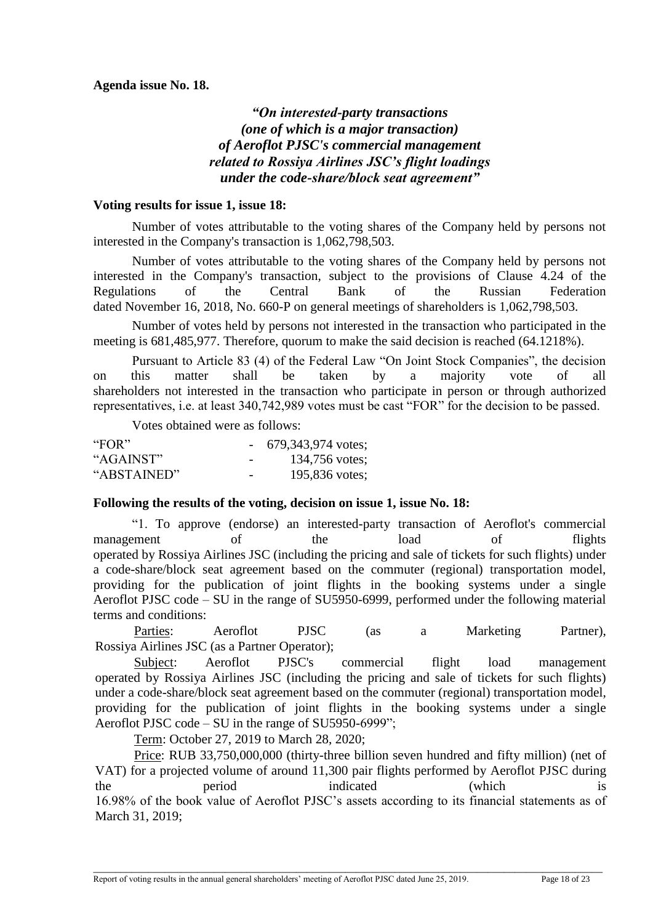# *"On interested-party transactions (one of which is a major transaction) of Aeroflot PJSC's commercial management related to Rossiya Airlines JSC's flight loadings under the code-share/block seat agreement"*

## **Voting results for issue 1, issue 18:**

Number of votes attributable to the voting shares of the Company held by persons not interested in the Company's transaction is 1,062,798,503.

Number of votes attributable to the voting shares of the Company held by persons not interested in the Company's transaction, subject to the provisions of Clause 4.24 of the Regulations of the Central Bank of the Russian Federation dated November 16, 2018, No. 660-P on general meetings of shareholders is 1,062,798,503.

Number of votes held by persons not interested in the transaction who participated in the meeting is 681,485,977. Therefore, quorum to make the said decision is reached (64.1218%).

Pursuant to Article 83 (4) of the Federal Law "On Joint Stock Companies", the decision on this matter shall be taken by a majority vote of all shareholders not interested in the transaction who participate in person or through authorized representatives, i.e. at least 340,742,989 votes must be cast "FOR" for the decision to be passed.

Votes obtained were as follows:

| "FOR"       |                          | $-679,343,974 \text{ votes};$ |
|-------------|--------------------------|-------------------------------|
| "AGAINST"   | $\overline{\phantom{0}}$ | 134,756 votes;                |
| "ABSTAINED" | $\overline{\phantom{0}}$ | 195,836 votes;                |

# **Following the results of the voting, decision on issue 1, issue No. 18:**

"1. To approve (endorse) an interested-party transaction of Aeroflot's commercial management of the load of flights operated by Rossiya Airlines JSC (including the pricing and sale of tickets for such flights) under a code-share/block seat agreement based on the commuter (regional) transportation model, providing for the publication of joint flights in the booking systems under a single Aeroflot PJSC code – SU in the range of SU5950-6999, performed under the following material terms and conditions:

Parties: Aeroflot PJSC (as a Marketing Partner), Rossiya Airlines JSC (as a Partner Operator);

Subject: Aeroflot PJSC's commercial flight load management operated by Rossiya Airlines JSC (including the pricing and sale of tickets for such flights) under a code-share/block seat agreement based on the commuter (regional) transportation model, providing for the publication of joint flights in the booking systems under a single Aeroflot PJSC code – SU in the range of SU5950-6999";

Term: October 27, 2019 to March 28, 2020;

Price: RUB 33,750,000,000 (thirty-three billion seven hundred and fifty million) (net of VAT) for a projected volume of around 11,300 pair flights performed by Aeroflot PJSC during the period indicated (which is 16.98% of the book value of Aeroflot PJSC's assets according to its financial statements as of March 31, 2019;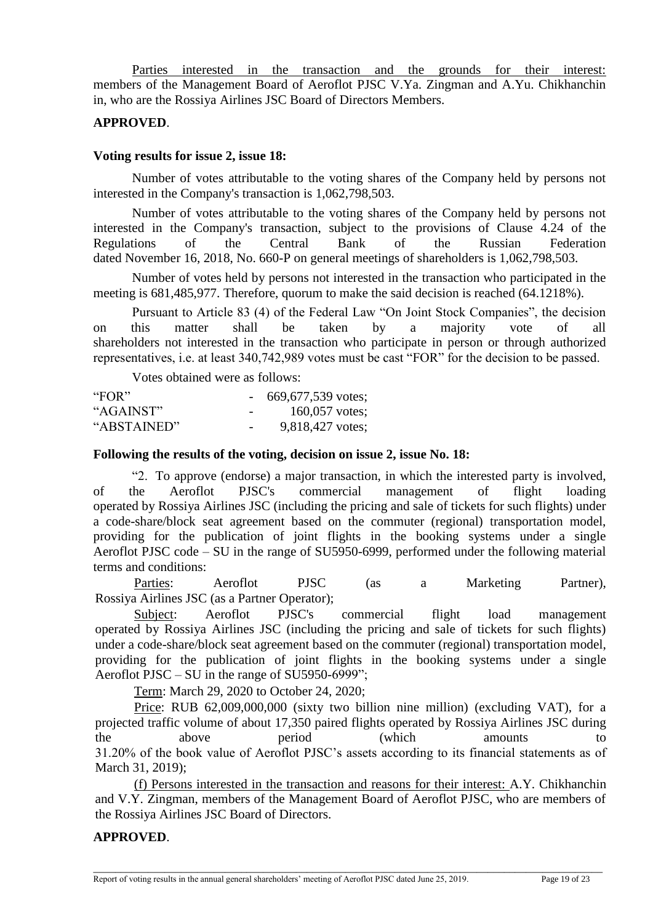Parties interested in the transaction and the grounds for their interest: members of the Management Board of Aeroflot PJSC V.Ya. Zingman and A.Yu. Chikhanchin in, who are the Rossiya Airlines JSC Board of Directors Members.

## **APPROVED**.

#### **Voting results for issue 2, issue 18:**

Number of votes attributable to the voting shares of the Company held by persons not interested in the Company's transaction is 1,062,798,503.

Number of votes attributable to the voting shares of the Company held by persons not interested in the Company's transaction, subject to the provisions of Clause 4.24 of the Regulations of the Central Bank of the Russian Federation dated November 16, 2018, No. 660-P on general meetings of shareholders is 1,062,798,503.

Number of votes held by persons not interested in the transaction who participated in the meeting is 681,485,977. Therefore, quorum to make the said decision is reached (64.1218%).

Pursuant to Article 83 (4) of the Federal Law "On Joint Stock Companies", the decision on this matter shall be taken by a majority vote of all shareholders not interested in the transaction who participate in person or through authorized representatives, i.e. at least 340,742,989 votes must be cast "FOR" for the decision to be passed.

Votes obtained were as follows:

| "FOR"       |                          | $-669,677,539$ votes; |
|-------------|--------------------------|-----------------------|
| "AGAINST"   | $\overline{\phantom{0}}$ | 160,057 votes;        |
| "ABSTAINED" | $\overline{\phantom{a}}$ | 9,818,427 votes;      |

#### **Following the results of the voting, decision on issue 2, issue No. 18:**

"2. To approve (endorse) a major transaction, in which the interested party is involved, of the Aeroflot PJSC's commercial management of flight loading operated by Rossiya Airlines JSC (including the pricing and sale of tickets for such flights) under a code-share/block seat agreement based on the commuter (regional) transportation model, providing for the publication of joint flights in the booking systems under a single Aeroflot PJSC code – SU in the range of SU5950-6999, performed under the following material terms and conditions:

Parties: Aeroflot PJSC (as a Marketing Partner), Rossiya Airlines JSC (as a Partner Operator);

Subject: Aeroflot PJSC's commercial flight load management operated by Rossiya Airlines JSC (including the pricing and sale of tickets for such flights) under a code-share/block seat agreement based on the commuter (regional) transportation model, providing for the publication of joint flights in the booking systems under a single Aeroflot PJSC – SU in the range of SU5950-6999";

Term: March 29, 2020 to October 24, 2020;

Price: RUB 62,009,000,000 (sixty two billion nine million) (excluding VAT), for a projected traffic volume of about 17,350 paired flights operated by Rossiya Airlines JSC during the above period (which amounts to 31.20% of the book value of Aeroflot PJSC's assets according to its financial statements as of March 31, 2019);

(f) Persons interested in the transaction and reasons for their interest: A.Y. Chikhanchin and V.Y. Zingman, members of the Management Board of Aeroflot PJSC, who are members of the Rossiya Airlines JSC Board of Directors.

\_\_\_\_\_\_\_\_\_\_\_\_\_\_\_\_\_\_\_\_\_\_\_\_\_\_\_\_\_\_\_\_\_\_\_\_\_\_\_\_\_\_\_\_\_\_\_\_\_\_\_\_\_\_\_\_\_\_\_\_\_\_\_\_\_\_\_\_\_\_\_\_\_\_\_\_\_\_\_\_\_\_\_\_\_\_\_\_\_\_\_\_\_

## **APPROVED**.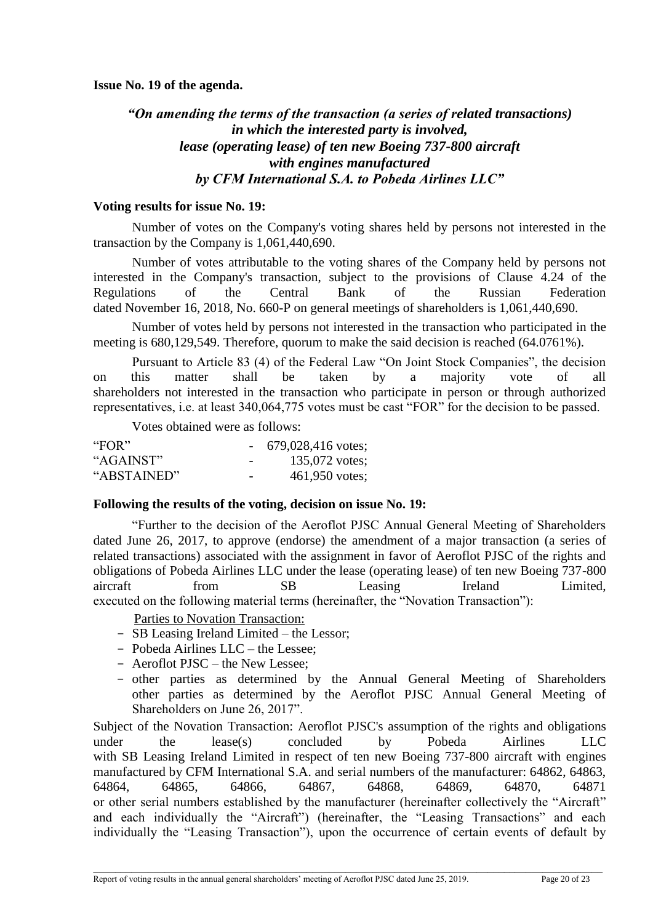**Issue No. 19 of the agenda.**

# *"On amending the terms of the transaction (a series of related transactions) in which the interested party is involved, lease (operating lease) of ten new Boeing 737-800 aircraft with engines manufactured by CFM International S.A. to Pobeda Airlines LLC"*

## **Voting results for issue No. 19:**

Number of votes on the Company's voting shares held by persons not interested in the transaction by the Company is 1,061,440,690.

Number of votes attributable to the voting shares of the Company held by persons not interested in the Company's transaction, subject to the provisions of Clause 4.24 of the Regulations of the Central Bank of the Russian Federation dated November 16, 2018, No. 660-P on general meetings of shareholders is 1,061,440,690.

Number of votes held by persons not interested in the transaction who participated in the meeting is 680,129,549. Therefore, quorum to make the said decision is reached (64.0761%).

Pursuant to Article 83 (4) of the Federal Law "On Joint Stock Companies", the decision on this matter shall be taken by a majority vote of all shareholders not interested in the transaction who participate in person or through authorized representatives, i.e. at least 340,064,775 votes must be cast "FOR" for the decision to be passed.

Votes obtained were as follows:

| "FOR"       |                          | $-679,028,416$ votes; |
|-------------|--------------------------|-----------------------|
| "AGAINST"   | $\overline{\phantom{0}}$ | 135,072 votes;        |
| "ABSTAINED" | $\overline{\phantom{0}}$ | 461,950 votes;        |

## **Following the results of the voting, decision on issue No. 19:**

"Further to the decision of the Aeroflot PJSC Annual General Meeting of Shareholders dated June 26, 2017, to approve (endorse) the amendment of a major transaction (a series of related transactions) associated with the assignment in favor of Aeroflot PJSC of the rights and obligations of Pobeda Airlines LLC under the lease (operating lease) of ten new Boeing 737-800 aircraft from SB Leasing Ireland Limited, executed on the following material terms (hereinafter, the "Novation Transaction"):

Parties to Novation Transaction:

- SB Leasing Ireland Limited the Lessor;
- Pobeda Airlines LLC the Lessee;
- Aeroflot PJSC the New Lessee;
- other parties as determined by the Annual General Meeting of Shareholders other parties as determined by the Aeroflot PJSC Annual General Meeting of Shareholders on June 26, 2017".

Subject of the Novation Transaction: Aeroflot PJSC's assumption of the rights and obligations under the lease(s) concluded by Pobeda Airlines LLC with SB Leasing Ireland Limited in respect of ten new Boeing 737-800 aircraft with engines manufactured by CFM International S.A. and serial numbers of the manufacturer: 64862, 64863, 64864, 64865, 64866, 64867, 64868, 64869, 64870, 64871 or other serial numbers established by the manufacturer (hereinafter collectively the "Aircraft" and each individually the "Aircraft") (hereinafter, the "Leasing Transactions" and each individually the "Leasing Transaction"), upon the occurrence of certain events of default by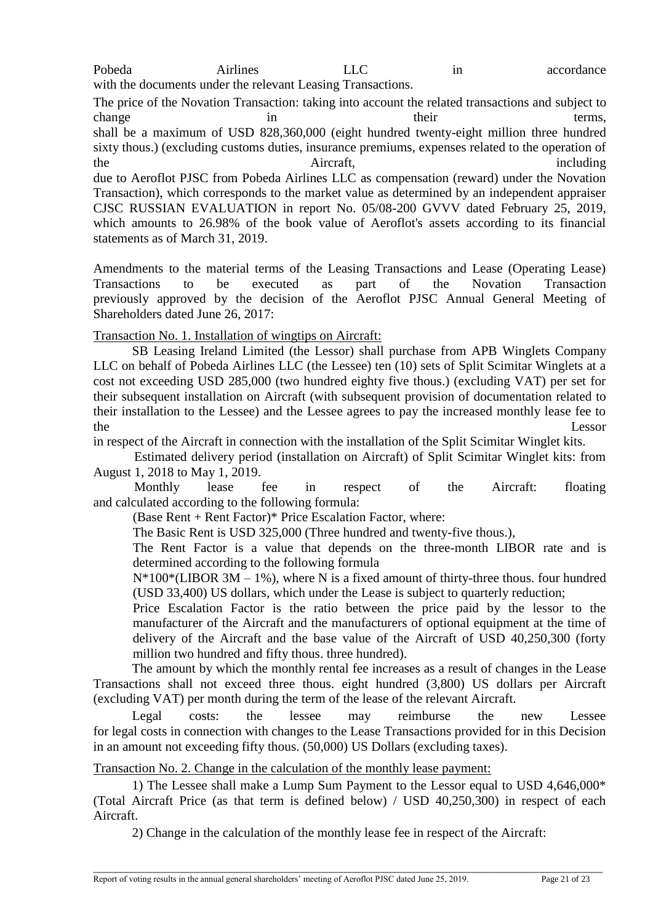Pobeda Airlines LLC in accordance with the documents under the relevant Leasing Transactions.

The price of the Novation Transaction: taking into account the related transactions and subject to change in their terms, shall be a maximum of USD 828,360,000 (eight hundred twenty-eight million three hundred sixty thous.) (excluding customs duties, insurance premiums, expenses related to the operation of the Aircraft,  $\frac{1}{2}$  Aircraft,  $\frac{1}{2}$  including due to Aeroflot PJSC from Pobeda Airlines LLC as compensation (reward) under the Novation Transaction), which corresponds to the market value as determined by an independent appraiser CJSC RUSSIAN EVALUATION in report No. 05/08-200 GVVV dated February 25, 2019, which amounts to 26.98% of the book value of Aeroflot's assets according to its financial statements as of March 31, 2019.

Amendments to the material terms of the Leasing Transactions and Lease (Operating Lease) Transactions to be executed as part of the Novation Transaction previously approved by the decision of the Aeroflot PJSC Annual General Meeting of Shareholders dated June 26, 2017:

# Transaction No. 1. Installation of wingtips on Aircraft:

SB Leasing Ireland Limited (the Lessor) shall purchase from APB Winglets Company LLC on behalf of Pobeda Airlines LLC (the Lessee) ten (10) sets of Split Scimitar Winglets at a cost not exceeding USD 285,000 (two hundred eighty five thous.) (excluding VAT) per set for their subsequent installation on Aircraft (with subsequent provision of documentation related to their installation to the Lessee) and the Lessee agrees to pay the increased monthly lease fee to the Lessor

in respect of the Aircraft in connection with the installation of the Split Scimitar Winglet kits.

Estimated delivery period (installation on Aircraft) of Split Scimitar Winglet kits: from August 1, 2018 to May 1, 2019.

Monthly lease fee in respect of the Aircraft: floating and calculated according to the following formula:

(Base Rent + Rent Factor)\* Price Escalation Factor, where:

The Basic Rent is USD 325,000 (Three hundred and twenty-five thous.),

The Rent Factor is a value that depends on the three-month LIBOR rate and is determined according to the following formula

 $N*100*(LIBOR 3M – 1%)$ , where N is a fixed amount of thirty-three thous. four hundred (USD 33,400) US dollars, which under the Lease is subject to quarterly reduction;

Price Escalation Factor is the ratio between the price paid by the lessor to the manufacturer of the Aircraft and the manufacturers of optional equipment at the time of delivery of the Aircraft and the base value of the Aircraft of USD 40,250,300 (forty million two hundred and fifty thous. three hundred).

The amount by which the monthly rental fee increases as a result of changes in the Lease Transactions shall not exceed three thous. eight hundred (3,800) US dollars per Aircraft (excluding VAT) per month during the term of the lease of the relevant Aircraft.

Legal costs: the lessee may reimburse the new Lessee for legal costs in connection with changes to the Lease Transactions provided for in this Decision in an amount not exceeding fifty thous. (50,000) US Dollars (excluding taxes).

# Transaction No. 2. Change in the calculation of the monthly lease payment:

1) The Lessee shall make a Lump Sum Payment to the Lessor equal to USD 4,646,000\* (Total Aircraft Price (as that term is defined below) / USD 40,250,300) in respect of each Aircraft.

2) Change in the calculation of the monthly lease fee in respect of the Aircraft: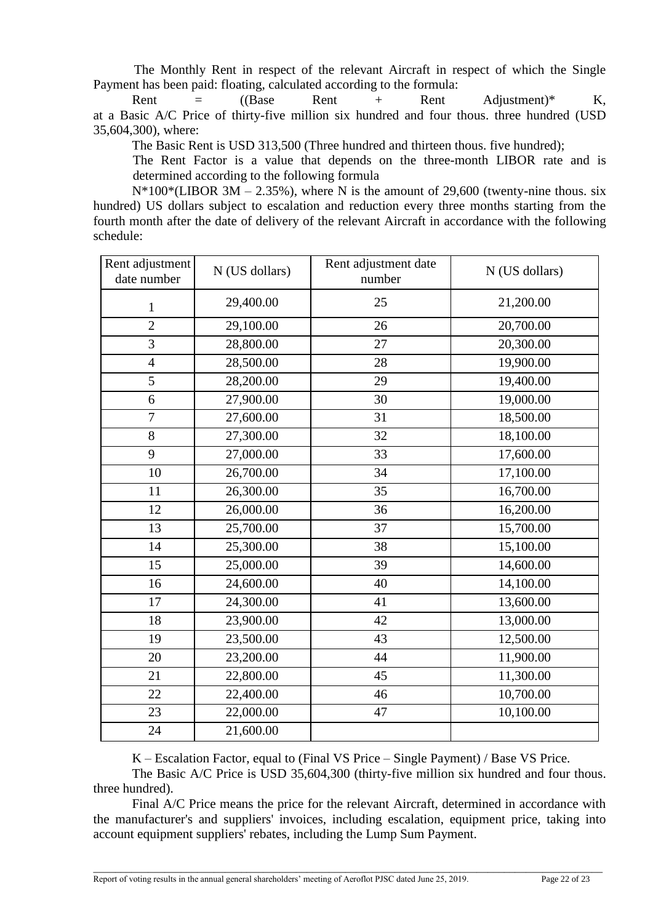The Monthly Rent in respect of the relevant Aircraft in respect of which the Single Payment has been paid: floating, calculated according to the formula:

Rent  $=$   $((Base \t Rent + Rent \t Adiustum))^*$  K, at a Basic A/C Price of thirty-five million six hundred and four thous. three hundred (USD 35,604,300), where:

The Basic Rent is USD 313,500 (Three hundred and thirteen thous. five hundred);

The Rent Factor is a value that depends on the three-month LIBOR rate and is determined according to the following formula

 $N*100*(LIBOR 3M - 2.35%)$ , where N is the amount of 29,600 (twenty-nine thous. six hundred) US dollars subject to escalation and reduction every three months starting from the fourth month after the date of delivery of the relevant Aircraft in accordance with the following schedule:

| Rent adjustment<br>date number | N (US dollars) | Rent adjustment date<br>number | N (US dollars) |
|--------------------------------|----------------|--------------------------------|----------------|
| $\mathbf{1}$                   | 29,400.00      | 25                             | 21,200.00      |
| $\overline{2}$                 | 29,100.00      | 26                             | 20,700.00      |
| 3                              | 28,800.00      | 27                             | 20,300.00      |
| $\overline{4}$                 | 28,500.00      | 28                             | 19,900.00      |
| 5                              | 28,200.00      | 29                             | 19,400.00      |
| 6                              | 27,900.00      | 30                             | 19,000.00      |
| $\overline{7}$                 | 27,600.00      | 31                             | 18,500.00      |
| 8                              | 27,300.00      | 32                             | 18,100.00      |
| 9                              | 27,000.00      | 33                             | 17,600.00      |
| 10                             | 26,700.00      | 34                             | 17,100.00      |
| 11                             | 26,300.00      | 35                             | 16,700.00      |
| 12                             | 26,000.00      | 36                             | 16,200.00      |
| 13                             | 25,700.00      | 37                             | 15,700.00      |
| 14                             | 25,300.00      | 38                             | 15,100.00      |
| 15                             | 25,000.00      | 39                             | 14,600.00      |
| 16                             | 24,600.00      | 40                             | 14,100.00      |
| 17                             | 24,300.00      | 41                             | 13,600.00      |
| 18                             | 23,900.00      | 42                             | 13,000.00      |
| 19                             | 23,500.00      | 43                             | 12,500.00      |
| 20                             | 23,200.00      | 44                             | 11,900.00      |
| 21                             | 22,800.00      | 45                             | 11,300.00      |
| 22                             | 22,400.00      | 46                             | 10,700.00      |
| 23                             | 22,000.00      | 47                             | 10,100.00      |
| 24                             | 21,600.00      |                                |                |

K – Escalation Factor, equal to (Final VS Price – Single Payment) / Base VS Price.

The Basic A/C Price is USD 35,604,300 (thirty-five million six hundred and four thous. three hundred).

Final A/C Price means the price for the relevant Aircraft, determined in accordance with the manufacturer's and suppliers' invoices, including escalation, equipment price, taking into account equipment suppliers' rebates, including the Lump Sum Payment.